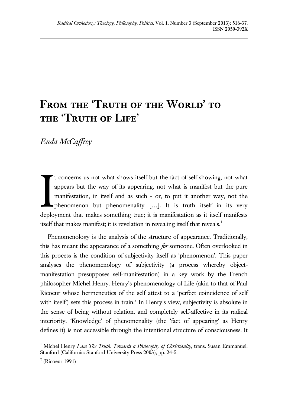# FROM THE 'TRUTH OF THE WORLD' TO **the 'Truth of Life'**

*Enda McCaffrey*

t concerns us not what shows itself but the fact of self-showing, not what appears but the way of its appearing, not what is manifest but the pure manifestation, in itself and as such - or, to put it another way, not the phenomenon but phenomenality […]. It is truth itself in its very deployment that makes something true; it is manifestation as it itself manifests itself that makes manifest; it is revelation in revealing itself that reveals.<sup>1</sup> I

Phenomenology is the analysis of the structure of appearance. Traditionally, this has meant the appearance of a something *for* someone. Often overlooked in this process is the condition of subjectivity itself as 'phenomenon'. This paper analyses the phenomenology of subjectivity (a process whereby objectmanifestation presupposes self-manifestation) in a key work by the French philosopher Michel Henry. Henry's phenomenology of Life (akin to that of Paul Ricoeur whose hermeneutics of the self attest to a 'perfect coincidence of self with itself) sets this process in train.<sup>2</sup> In Henry's view, subjectivity is absolute in the sense of being without relation, and completely self-affective in its radical interiority. 'Knowledge' of phenomenality (the 'fact of appearing' as Henry defines it) is not accessible through the intentional structure of consciousness. It

<sup>&</sup>lt;sup>1</sup> Michel Henry *I am The Truth. Towards a Philosophy of Christianity*, trans. Susan Emmanuel. Stanford (California: Stanford University Press 2003), pp. 24-5.

 $2$  (Ricoeur 1991)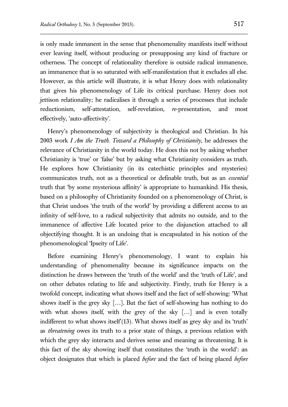is only made immanent in the sense that phenomenality manifests itself without ever leaving itself, without producing or presupposing any kind of fracture or otherness. The concept of relationality therefore is outside radical immanence, an immanence that is so saturated with self-manifestation that it excludes all else. However, as this article will illustrate, it is what Henry does with relationality that gives his phenomenology of Life its critical purchase. Henry does not jettison relationality; he radicalises it through a series of processes that include reductionism, self-attestation, self-revelation, *re*-presentation, and most effectively, 'auto-affectivity'.

Henry's phenomenology of subjectivity is theological and Christian. In his 2003 work *I Am the Truth. Toward a Philosophy of Christianity*, he addresses the relevance of Christianity in the world today. He does this not by asking whether Christianity is 'true' or 'false' but by asking what Christianity considers as truth. He explores how Christianity (in its catechistic principles and mysteries) communicates truth, not as a theoretical or definable truth, but as an *essential* truth that 'by some mysterious affinity' is appropriate to humankind. His thesis, based on a philosophy of Christianity founded on a phenomenology of Christ, is that Christ undoes 'the truth of the world' by providing a different access to an infinity of self-love, to a radical subjectivity that admits no outside, and to the immanence of affective Life located prior to the disjunction attached to all objectifying thought. It is an undoing that is encapsulated in his notion of the phenomenological 'Ipseity of Life'.

Before examining Henry's phenomenology, I want to explain his understanding of phenomenality because its significance impacts on the distinction he draws between the 'truth of the world' and the 'truth of Life', and on other debates relating to life and subjectivity. Firstly, truth for Henry is a twofold concept, indicating what shows itself and the fact of self-showing: 'What shows itself is the grey sky […]. But the fact of self-showing has nothing to do with what shows itself, with the grey of the sky […] and is even totally indifferent to what shows itself'(13). What shows itself as grey sky and its 'truth' as *threatening* owes its truth to a prior state of things, a previous relation with which the grey sky interacts and derives sense and meaning as threatening. It is this fact of the sky showing itself that constitutes the 'truth in the world': an object designates that which is placed *before* and the fact of being placed *before*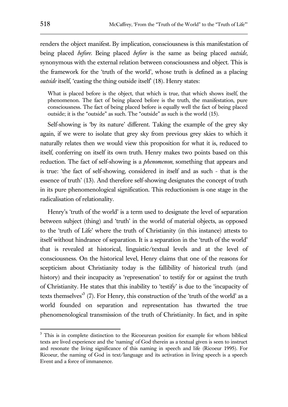renders the object manifest. By implication, consciousness is this manifestation of being placed *before*. Being placed *before* is the same as being placed *outside*, synonymous with the external relation between consciousness and object. This is the framework for the 'truth of the world', whose truth is defined as a placing *outside* itself, 'casting the thing outside itself' (18). Henry states:

What is placed before is the object, that which is true, that which shows itself, the phenomenon. The fact of being placed before is the truth, the manifestation, pure consciousness. The fact of being placed before is equally well the fact of being placed outside; it is the "outside" as such. The "outside" as such is the world (15).

Self-showing is 'by its nature' different. Taking the example of the grey sky again, if we were to isolate that grey sky from previous grey skies to which it naturally relates then we would view this proposition for what it is, reduced to itself, conferring on itself its own truth. Henry makes two points based on this reduction. The fact of self-showing is a *phenomenon*, something that appears and is true: 'the fact of self-showing, considered in itself and as such - that is the essence of truth' (13). And therefore self-showing designates the concept of truth in its pure phenomenological signification. This reductionism is one stage in the radicalisation of relationality.

Henry's 'truth of the world' is a term used to designate the level of separation between subject (thing) and 'truth' in the world of material objects, as opposed to the 'truth of Life' where the truth of Christianity (in this instance) attests to itself without hindrance of separation. It is a separation in the 'truth of the world' that is revealed at historical, linguistic/textual levels and at the level of consciousness. On the historical level, Henry claims that one of the reasons for scepticism about Christianity today is the fallibility of historical truth (and history) and their incapacity as 'represenation' to testify for or against the truth of Christianity. He states that this inability to 'testify' is due to the 'incapacity of texts themselves<sup>3</sup> (7). For Henry, this construction of the 'truth of the world' as a world founded on separation and representation has thwarted the true phenomenological transmission of the truth of Christianity. In fact, and in spite

<sup>&</sup>lt;sup>3</sup> This is in complete distinction to the Ricoeurean position for example for whom biblical texts are lived experience and the 'naming' of God therein as a textual given is seen to instruct and resonate the living significance of this naming in speech and life (Ricoeur 1995). For Ricoeur, the naming of God in text/language and its activation in living speech is a speech Event and a force of immanence.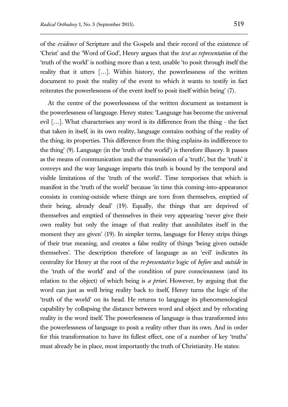of the *evidence* of Scripture and the Gospels and their record of the existence of 'Christ' and the 'Word of God', Henry argues that the *text as representation* of the 'truth of the world' is nothing more than a text, unable 'to posit through itself the reality that it utters […]. Within history, the powerlessness of the written document to posit the reality of the event to which it wants to testify in fact reiterates the powerlessness of the event itself to posit itself within being' (7).

At the centre of the powerlessness of the written document as testament is the powerlessness of language. Henry states: 'Language has become the universal evil […]. What characterises any word is its difference from the thing - the fact that taken in itself, in its own reality, language contains nothing of the reality of the thing, its properties. This difference from the thing explains its indifference to the thing' (9). Language (in the 'truth of the world') is therefore illusory. It passes as the means of communication and the transmission of a 'truth', but the 'truth' it conveys and the way language imparts this truth is bound by the temporal and visible limitations of the 'truth of the world'. Time temporises that which is manifest in the 'truth of the world' because 'in time this coming-into-appearance consists in coming-outside where things are torn from themselves, emptied of their being, already dead' (19). Equally, the things that are deprived of themselves and emptied of themselves in their very appearing 'never give their own reality but only the image of that reality that annihilates itself in the moment they are given' (19). In simpler terms, language for Henry strips things of their true meaning, and creates a false reality of things 'being given outside themselves'. The description therefore of language as an 'evil' indicates its centrality for Henry at the root of the *re-presentative* logic of *before* and *outside* in the 'truth of the world' and of the condition of pure consciousness (and its relation to the object) of which being is *a priori*. However, by arguing that the word can just as well bring reality back to itself, Henry turns the logic of the 'truth of the world' on its head. He returns to language its phenomenological capability by collapsing the distance between word and object and by relocating reality in the word itself. The powerlessness of language is thus transformed into the powerlessness of language to posit a reality other than its own. And in order for this transformation to have its fullest effect, one of a number of key 'truths' must already be in place, most importantly the truth of Christianity. He states: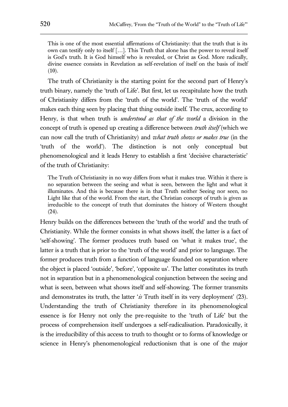This is one of the most essential affirmations of Christianity: that the truth that is its own can testify only to itself […]. This Truth that alone has the power to reveal itself is God's truth. It is God himself who is revealed, or Christ as God. More radically, divine essence consists in Revelation as self-revelation of itself on the basis of itself  $(10).$ 

The truth of Christianity is the starting point for the second part of Henry's truth binary, namely the 'truth of Life'. But first, let us recapitulate how the truth of Christianity differs from the 'truth of the world'. The 'truth of the world' makes each thing seen by placing that thing outside itself. The crux, according to Henry, is that when truth is *understood as that of the world* a division in the concept of truth is opened up creating a difference between *truth itself* (which we can now call the truth of Christianity) and *what truth shows or makes true* (in the 'truth of the world'). The distinction is not only conceptual but phenomenological and it leads Henry to establish a first 'decisive characteristic' of the truth of Christianity:

The Truth of Christianity in no way differs from what it makes true. Within it there is no separation between the seeing and what is seen, between the light and what it illuminates. And this is because there is in that Truth neither Seeing nor seen, no Light like that of the world. From the start, the Christian concept of truth is given as irreducible to the concept of truth that dominates the history of Western thought (24).

Henry builds on the differences between the 'truth of the world' and the truth of Christianity. While the former consists in what shows itself, the latter is a fact of 'self-showing'. The former produces truth based on 'what it makes true', the latter is a truth that is prior to the 'truth of the world' and prior to language. The former produces truth from a function of language founded on separation where the object is placed 'outside', 'before', 'opposite us'. The latter constitutes its truth not in separation but in a phenomenological conjunction between the seeing and what is seen, between what shows itself and self-showing. The former transmits and demonstrates its truth, the latter '*is* Truth itself in its very deployment' (23). Understanding the truth of Christianity therefore in its phenomenological essence is for Henry not only the pre-requisite to the 'truth of Life' but the process of comprehension itself undergoes a self-radicalisation. Paradoxically, it is the irreducibility of this access to truth to thought or to forms of knowledge or science in Henry's phenomenological reductionism that is one of the major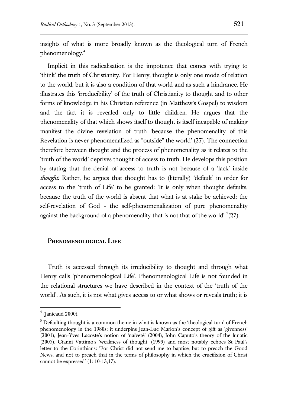insights of what is more broadly known as the theological turn of French phenomenology.<sup>4</sup>

Implicit in this radicalisation is the impotence that comes with trying to 'think' the truth of Christianity. For Henry, thought is only one mode of relation to the world, but it is also a condition of that world and as such a hindrance. He illustrates this 'irreducibility' of the truth of Christianity to thought and to other forms of knowledge in his Christian reference (in Matthew's Gospel) to wisdom and the fact it is revealed only to little children. He argues that the phenomenality of that which shows itself to thought is itself incapable of making manifest the divine revelation of truth 'because the phenomenality of this Revelation is never phenomenalized as "outside" the world' (27). The connection therefore between thought and the process of phenomenality as it relates to the 'truth of the world' deprives thought of access to truth. He develops this position by stating that the denial of access to truth is not because of a 'lack' inside *thought*. Rather, he argues that thought has to (literally) 'default' in order for access to the 'truth of Life' to be granted: 'It is only when thought defaults, because the truth of the world is absent that what is at stake be achieved: the self-revelation of God - the self-phenomenalization of pure phenomenality against the background of a phenomenality that is not that of the world'  $5(27)$ .

## **Phenomenological Life**

Truth is accessed through its irreducibility to thought and through what Henry calls 'phenomenological Life'. Phenomenological Life is not founded in the relational structures we have described in the context of the 'truth of the world'. As such, it is not what gives access to or what shows or reveals truth; it is

 $<sup>4</sup>$  (Janicaud 2000).</sup>

 $5$  Defaulting thought is a common theme in what is known as the 'theological turn' of French phenomenology in the 1980s; it underpins Jean-Luc Marion's concept of gift as 'givenness' (2001), Jean-Yves Lacoste's notion of 'naïveté' (2004), John Caputo's theory of the lunatic (2007), Gianni Vattimo's 'weakness of thought' (1999) and most notably echoes St Paul's letter to the Corinthians: 'For Christ did not send me to baptise, but to preach the Good News, and not to preach that in the terms of philosophy in which the crucifixion of Christ cannot be expressed' (1: 10-13,17).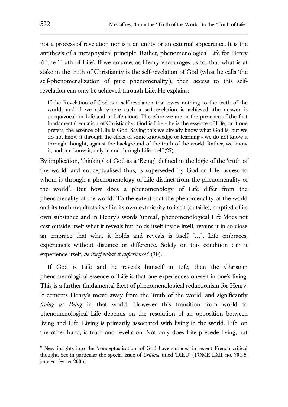not a process of revelation nor is it an entity or an external appearance. It is the antithesis of a metaphysical principle. Rather, phenomenological Life for Henry *is* 'the Truth of Life'. If we assume, as Henry encourages us to, that what is at stake in the truth of Christianity is the self-revelation of God (what he calls 'the self-phenomenalization of pure phenomenality'), then access to this selfrevelation can only be achieved through Life. He explains:

If the Revelation of God is a self-revelation that owes nothing to the truth of the world, and if we ask where such a self-revelation is achieved, the answer is unequivocal: in Life and in Life alone. Therefore we are in the presence of the first fundamental equation of Christianity: God is Life - he is the essence of Life, or if one prefers, the essence of Life is God. Saying this we already know what God is, but we do not know it through the effect of some knowledge or learning - we do not know it through thought, against the background of the truth of the world. Rather, we know it, and can know it, only in and through Life itself (27).

By implication, 'thinking' of God as a 'Being', defined in the logic of the 'truth of the world' and conceptualised thus, is superseded by God as Life, access to whom is through a phenomenology of Life distinct from the phenomenality of the world<sup>6</sup>. But how does a phenomenology of Life differ from the phenomenality of the world? To the extent that the phenomenality of the world and its truth manifests itself in its own exteriority to itself (outside), emptied of its own substance and in Henry's words 'unreal', phenomenological Life 'does not cast outside itself what it reveals but holds itself inside itself, retains it in so close an embrace that what it holds and reveals is itself […]. Life embraces, experiences without distance or difference. Solely on this condition can it experience itself, *be itself what it experiences*' (30).

If God is Life and he reveals himself in Life, then the Christian phenomenological essence of Life is that one experiences oneself in one's living. This is a further fundamental facet of phenomenological reductionism for Henry. It cements Henry's move away from the 'truth of the world' and significantly *living as Being* in that world. However this transition from world to phenomenological Life depends on the resolution of an opposition between living and Life. Living is primarily associated with living in the world. Life, on the other hand, is truth and revelation. Not only does Life precede living, but

 $<sup>6</sup>$  New insights into the 'conceptualisation' of God have surfaced in recent French critical</sup> thought. See in particular the special issue of *Critique* titled 'DIEU' (TOME LXII, no. 704-5, janvier- février 2006).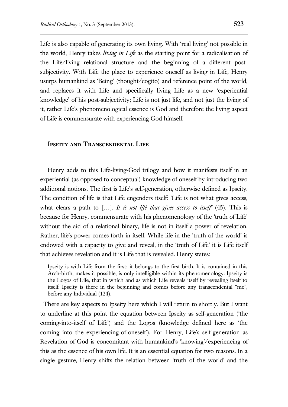Life is also capable of generating its own living. With 'real living' not possible in the world, Henry takes *living in Life* as the starting point for a radicalisation of the Life/living relational structure and the beginning of a different postsubjectivity. With Life the place to experience oneself as living in Life, Henry usurps humankind as 'Being' (thought/cogito) and reference point of the world, and replaces it with Life and specifically living Life as a new 'experiential knowledge' of his post-subjectivity; Life is not just life, and not just the living of it, rather Life's phenomenological essence is God and therefore the living aspect of Life is commensurate with experiencing God himself.

#### **Ipseity and Transcendental Life**

Henry adds to this Life-living-God trilogy and how it manifests itself in an experiential (as opposed to conceptual) knowledge of oneself by introducing two additional notions. The first is Life's self-generation, otherwise defined as Ipseity. The condition of life is that Life engenders itself: 'Life is not what gives access, what clears a path to […]. *It is not life that gives access to itself*' (45). This is because for Henry, commensurate with his phenomenology of the 'truth of Life' without the aid of a relational binary, life is not in itself a power of revelation. Rather, life's power comes forth in itself. While life in the 'truth of the world' is endowed with a capacity to give and reveal, in the 'truth of Life' it is Life itself that achieves revelation and it is Life that is revealed. Henry states:

Ipseity is with Life from the first; it belongs to the first birth. It is contained in this Arch-birth, makes it possible, is only intelligible within its phenomenology. Ipseity is the Logos of Life, that in which and as which Life reveals itself by revealing itself to itself. Ipseity is there in the beginning and comes before any transcendental "me", before any Individual (124).

There are key aspects to Ipseity here which I will return to shortly. But I want to underline at this point the equation between Ipseity as self-generation ('the coming-into-itself of Life') and the Logos (knowledge defined here as 'the coming into the experiencing-of-oneself'). For Henry, Life's self-generation as Revelation of God is concomitant with humankind's 'knowing'/experiencing of this as the essence of his own life. It is an essential equation for two reasons. In a single gesture, Henry shifts the relation between 'truth of the world' and the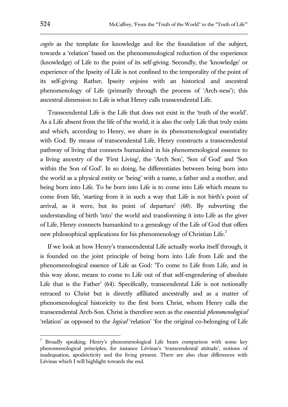*cogito* as the template for knowledge and for the foundation of the subject, towards a 'relation' based on the phenomenological reduction of the experience (knowledge) of Life to the point of its self-giving. Secondly, the 'knowledge' or experience of the Ipseity of Life is not confined to the temporality of the point of its self-giving. Rather, Ipseity enjoins with an historical and ancestral phenomenology of Life (primarily through the process of 'Arch-ness'); this ancestral dimension to Life is what Henry calls transcendental Life.

Transcendental Life is the Life that does not exist in the 'truth of the world'. As a Life absent from the life of the world, it is also the only Life that truly exists and which, according to Henry, we share in its phenomenological essentiality with God. By means of transcendental Life, Henry constructs a transcendental pathway of living that connects humankind in his phenomenological essence to a living ancestry of the 'First Living', the 'Arch Son', 'Son of God' and 'Son within the Son of God'. In so doing, he differentiates between being born into the world as a physical entity or 'being' with a name, a father and a mother, and being born into Life. To be born into Life is to come into Life which means to come from life, 'starting from it in such a way that Life is not birth's point of arrival, as it were, but its point of departure' (60). By subverting the understanding of birth 'into' the world and transforming it into Life as the giver of Life, Henry connects humankind to a genealogy of the Life of God that offers new philosophical applications for his phenomenology of Christian Life.<sup>7</sup>

If we look at how Henry's transcendental Life actually works itself through, it is founded on the joint principle of being born into Life from Life and the phenomenological essence of Life as God: 'To come to Life from Life, and in this way alone, means to come to Life out of that self-engendering of absolute Life that is the Father' (64). Specifically, transcendental Life is not notionally retraced to Christ but is directly affiliated ancestrally and as a matter of phenomenological historicity to the first born Christ, whom Henry calls the transcendental Arch-Son. Christ is therefore seen as the essential *phenomenological* 'relation' as opposed to the *logical* 'relation' 'for the original co-belonging of Life

<sup>&</sup>lt;sup>7</sup> Broadly speaking, Henry's phenomenological Life bears comparison with some key phenomenological principles, for instance Lévinas's 'transcendental attitude', notions of inadequation, apodeicticity and the living present. There are also clear differences with Lévinas which I will highlight towards the end.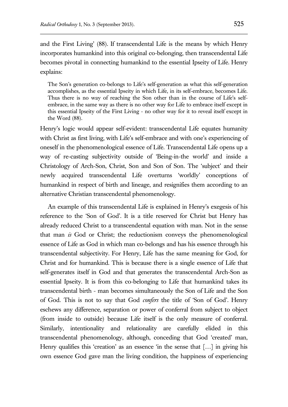and the First Living' (88). If transcendental Life is the means by which Henry incorporates humankind into this original co-belonging, then transcendental Life becomes pivotal in connecting humankind to the essential Ipseity of Life. Henry explains:

The Son's generation co-belongs to Life's self-generation as what this self-generation accomplishes, as the essential Ipseity in which Life, in its self-embrace, becomes Life. Thus there is no way of reaching the Son other than in the course of Life's selfembrace, in the same way as there is no other way for Life to embrace itself except in this essential Ipseity of the First Living - no other way for it to reveal itself except in the Word (88).

Henry's logic would appear self-evident: transcendental Life equates humanity with Christ as first living, with Life's self-embrace and with one's experiencing of oneself in the phenomenological essence of Life. Transcendental Life opens up a way of re-casting subjectivity outside of 'Being-in-the world' and inside a Christology of Arch-Son, Christ, Son and Son of Son. The 'subject' and their newly acquired transcendental Life overturns 'worldly' conceptions of humankind in respect of birth and lineage, and resignifies them according to an alternative Christian transcendental phenomenology.

An example of this transcendental Life is explained in Henry's exegesis of his reference to the 'Son of God'. It is a title reserved for Christ but Henry has already reduced Christ to a transcendental equation with man. Not in the sense that man *is* God or Christ; the reductionism conveys the phenomenological essence of Life as God in which man co-belongs and has his essence through his transcendental subjectivity. For Henry, Life has the same meaning for God, for Christ and for humankind. This is because there is a single essence of Life that self-generates itself in God and that generates the transcendental Arch-Son as essential Ipseity. It is from this co-belonging to Life that humankind takes its transcendental birth - man becomes simultaneously the Son of Life and the Son of God. This is not to say that God *confers* the title of 'Son of God'. Henry eschews any difference, separation or power of conferral from subject to object (from inside to outside) because Life itself is the only measure of conferral. Similarly, intentionality and relationality are carefully elided in this transcendental phenomenology, although, conceding that God 'created' man, Henry qualifies this 'creation' as an essence 'in the sense that [...] in giving his own essence God gave man the living condition, the happiness of experiencing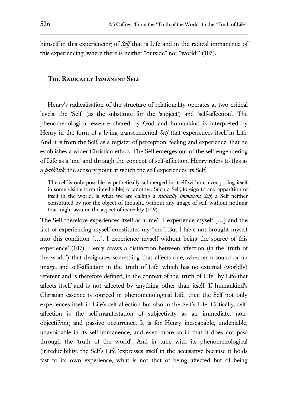himself in this experiencing of *Self* that is Life and in the radical immanence of this experiencing, where there is neither "outside" nor "world"' (103).

### **The Radically Immanent Self**

Henry's radicalisation of the structure of relationality operates at two critical levels: the 'Self' (as the substitute for the 'subject') and 'self-affection'. The phenomenological essence shared by God and humankind is interpreted by Henry in the form of a living transcendental *Self* that experiences itself in Life. And it is from the Self, as a register of perception, feeling and experience, that he establishes a wider Christian ethics. The Self emerges out of the self-engendering of Life as a 'me' and through the concept of self-affection. Henry refers to this as a *pathētik*; the sensory point at which the self experiences its Self:

The self is only possible as pathetically submerged in itself without ever posing itself in some visible form (intelligible) or another. Such a Self, foreign to any apparition of itself in the world, is what we are calling a *radically immanent Self*, a Self neither constituted by nor the object of thought, without any image of self, without nothing that might assume the aspect of its reality (149).

The Self therefore experiences itself as a 'me': 'I experience myself […] and the fact of experiencing myself constitutes my "me". But I have not brought myself into this condition […]. I experience myself without being the source of this experience' (107). Henry draws a distinction between affection (in the 'truth of the world') that designates something that affects one, whether a sound or an image, and self-affection in the 'truth of Life' which has no external (worldly) referent and is therefore defined, in the context of the 'truth of Life', by Life that affects itself and is not affected by anything other than itself. If humankind's Christian essence is sourced in phenomenological Life, then the Self not only experiences itself in Life's self-affection but also in the Self's Life. Critically, selfaffection is the self-manifestation of subjectivity as an immediate, nonobjectifying and passive occurrence. It is for Henry inescapable, undeniable, unavoidable in its self-immanence, and even more so in that it does not pass through the 'truth of the world'. And in tune with its phenomenological (ir)reducibility, the Self's Life 'expresses itself in the accusative because it holds fast to its own experience, what is not that of being affected but of being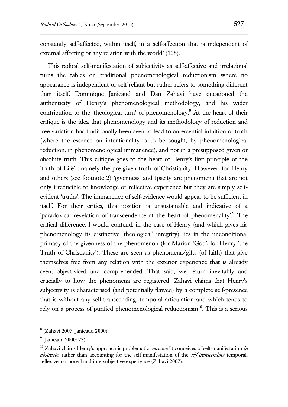constantly self-affected, within itself, in a self-affection that is independent of external affecting or any relation with the world' (108).

This radical self-manifestation of subjectivity as self-affective and irrelational turns the tables on traditional phenomenological reductionism where no appearance is independent or self-reliant but rather refers to something different than itself. Dominique Janicaud and Dan Zahavi have questioned the authenticity of Henry's phenomenological methodology, and his wider contribution to the 'theological turn' of phenomenology.<sup>8</sup> At the heart of their critique is the idea that phenomenology and its methodology of reduction and free variation has traditionally been seen to lead to an essential intuition of truth (where the essence on intentionality is to be sought, by phenomenological reduction, in phenomenological immanence), and not in a presupposed given or absolute truth. This critique goes to the heart of Henry's first principle of the 'truth of Life' , namely the pre-given truth of Christianity. However, for Henry and others (see footnote 2) 'givenness' and Ipseity are phenomena that are not only irreducible to knowledge or reflective experience but they are simply selfevident 'truths'. The immanence of self-evidence would appear to be sufficient in itself. For their critics, this position is unsustainable and indicative of a 'paradoxical revelation of transcendence at the heart of phenomenality'.<sup>9</sup> The critical difference, I would contend, in the case of Henry (and which gives his phenomenology its distinctive 'theological' integrity) lies in the unconditional primacy of the givenness of the phenomenon (for Marion 'God', for Henry 'the Truth of Christianity'). These are seen as phenomena/gifts (of faith) that give themselves free from any relation with the exterior experience that is already seen, objectivised and comprehended. That said, we return inevitably and crucially to how the phenomena are registered; Zahavi claims that Henry's subjectivity is characterised (and potentially flawed) by a complete self-presence that is without any self-transcending, temporal articulation and which tends to rely on a process of purified phenomenological reductionism<sup>10</sup>. This is a serious

<sup>8</sup> (Zahavi 2007; Janicaud 2000).

<sup>&</sup>lt;sup>9</sup> (Janicaud 2000: 23).

 $10$ <sup>10</sup> Zahavi claims Henry's approach is problematic because 'it conceives of self-manifestation *in abstracto*, rather than accounting for the self-manifestation of the *self-transcending* temporal, reflexive, corporeal and intersubjective experience (Zahavi 2007).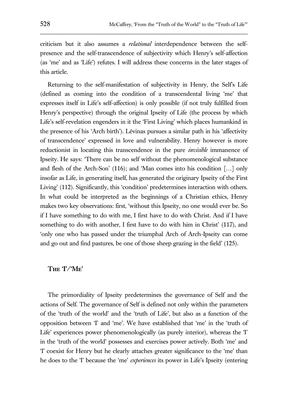criticism but it also assumes a *relational* interdependence between the selfpresence and the self-transcendence of subjectivity which Henry's self-affection (as 'me' and as 'Life') refutes. I will address these concerns in the later stages of this article.

Returning to the self-manifestation of subjectivity in Henry, the Self's Life (defined as coming into the condition of a transcendental living 'me' that expresses itself in Life's self-affection) is only possible (if not truly fulfilled from Henry's perspective) through the original Ipseity of Life (the process by which Life's self-revelation engenders in it the 'First Living' which places humankind in the presence of his 'Arch birth'). Lévinas pursues a similar path in his 'affectivity of transcendence' expressed in love and vulnerability. Henry however is more reductionist in locating this transcendence in the pure *invisible* immanence of Ipseity. He says: 'There can be no self without the phenomenological substance and flesh of the Arch-Son' (116); and 'Man comes into his condition […] only insofar as Life, in generating itself, has generated the originary Ipseity of the First Living' (112). Significantly, this 'condition' predetermines interaction with others. In what could be interpreted as the beginnings of a Christian ethics, Henry makes two key observations: first, 'without this Ipseity, no one would ever be. So if I have something to do with me, I first have to do with Christ. And if I have something to do with another, I first have to do with him in Christ' (117), and 'only one who has passed under the triumphal Arch of Arch-Ipseity can come and go out and find pastures, be one of those sheep grazing in the field' (125).

#### **The 'I'/'Me'**

The primordiality of Ipseity predetermines the governance of Self and the actions of Self. The governance of Self is defined not only within the parameters of the 'truth of the world' and the 'truth of Life', but also as a function of the opposition between 'I' and 'me'. We have established that 'me' in the 'truth of Life' experiences power phenomenologically (as purely interior), whereas the 'I' in the 'truth of the world' possesses and exercises power actively. Both 'me' and 'I' coexist for Henry but he clearly attaches greater significance to the 'me' than he does to the 'I' because the 'me' *experiences* its power in Life's Ipseity (entering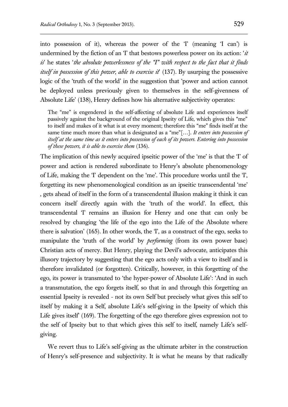into possession of it), whereas the power of the 'I' (meaning 'I can') is undermined by the fiction of an 'I' that bestows powerless power on its action: '*it is*' he states '*the absolute powerlessness of the "I" with respect to the fact that it finds itself in possession of this power, able to exercise it*' (137). By usurping the possessive logic of the 'truth of the world' in the suggestion that 'power and action cannot be deployed unless previously given to themselves in the self-givenness of Absolute Life' (138), Henry defines how his alternative subjectivity operates:

The "me" is engendered in the self-affecting of absolute Life and experiences itself passively against the background of the original Ipseity of Life, which gives this "me" to itself and makes of it what is at every moment; therefore this "me" finds itself at the same time much more than what is designated as a "me"[…]. *It enters into possession of itself at the same time as it enters into possession of each of its powers. Entering into possession of these powers, it is able to exercise them* (136).

The implication of this newly acquired ipseitic power of the 'me' is that the 'I' of power and action is rendered subordinate to Henry's absolute phenomenology of Life, making the 'I' dependent on the 'me'. This procedure works until the 'I', forgetting its new phenomenological condition as an ipseitic transcendental 'me' , gets ahead of itself in the form of a transcendental illusion making it think it can concern itself directly again with the 'truth of the world'. In effect, this transcendental 'I' remains an illusion for Henry and one that can only be resolved by changing 'the life of the ego into the Life of the Absolute where there is salvation'  $(165)$ . In other words, the T, as a construct of the ego, seeks to manipulate the 'truth of the world' by *performing* (from its own power base) Christian acts of mercy. But Henry, playing the Devil's advocate, anticipates this illusory trajectory by suggesting that the ego acts only with a view to itself and is therefore invalidated (or forgotten). Critically, however, in this forgetting of the ego, its power is transmuted to 'the hyper-power of Absolute Life': 'And in such a transmutation, the ego forgets itself, so that in and through this forgetting an essential Ipseity is revealed - not its own Self but precisely what gives this self to itself by making it a Self, absolute Life's self-giving in the Ipseity of which this Life gives itself (169). The forgetting of the ego therefore gives expression not to the self of Ipseity but to that which gives this self to itself, namely Life's selfgiving.

We revert thus to Life's self-giving as the ultimate arbiter in the construction of Henry's self-presence and subjectivity. It is what he means by that radically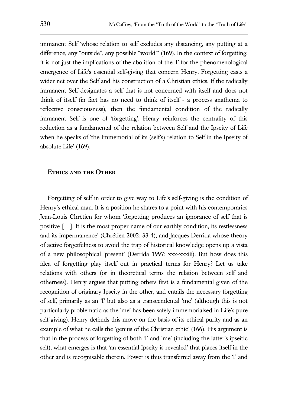immanent Self 'whose relation to self excludes any distancing, any putting at a difference, any "outside", any possible "world"' (169). In the context of forgetting, it is not just the implications of the abolition of the 'I' for the phenomenological emergence of Life's essential self-giving that concern Henry. Forgetting casts a wider net over the Self and his construction of a Christian ethics. If the radically immanent Self designates a self that is not concerned with itself and does not think of itself (in fact has no need to think of itself - a process anathema to reflective consciousness), then the fundamental condition of the radically immanent Self is one of 'forgetting'. Henry reinforces the centrality of this reduction as a fundamental of the relation between Self and the Ipseity of Life when he speaks of 'the Immemorial of its (self's) relation to Self in the Ipseity of absolute Life' (169).

## **Ethics and the Other**

Forgetting of self in order to give way to Life's self-giving is the condition of Henry's ethical man. It is a position he shares to a point with his contemporaries Jean-Louis Chrétien for whom 'forgetting produces an ignorance of self that is positive […]. It is the most proper name of our earthly condition, its restlessness and its impermanence' (Chrétien 2002: 33-4), and Jacques Derrida whose theory of active forgetfulness to avoid the trap of historical knowledge opens up a vista of a new philosophical 'present' (Derrida 1997: xxx-xxxiii). But how does this idea of forgetting play itself out in practical terms for Henry? Let us take relations with others (or in theoretical terms the relation between self and otherness). Henry argues that putting others first is a fundamental given of the recognition of originary Ipseity in the other, and entails the necessary forgetting of self, primarily as an 'I' but also as a transcendental 'me' (although this is not particularly problematic as the 'me' has been safely immemorialsed in Life's pure self-giving). Henry defends this move on the basis of its ethical purity and as an example of what he calls the 'genius of the Christian ethic' (166). His argument is that in the process of forgetting of both 'I' and 'me' (including the latter's ipseitic self), what emerges is that 'an essential Ipseity is revealed' that places itself in the other and is recognisable therein. Power is thus transferred away from the 'I' and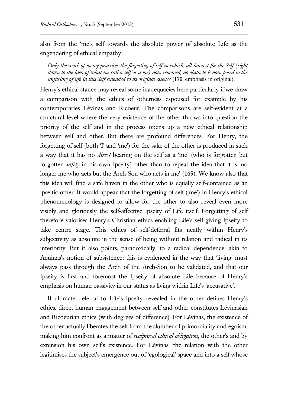also from the 'me's self towards the absolute power of absolute Life as the engendering of ethical empathy:

*Only the work of mercy practices the forgetting of self in which, all interest for the Self (right down to the idea of what we call a self or a me) now removed, no obstacle is now posed to the unfurling of life in this Self extended to its original essence* (170, emphasis in original).

Henry's ethical stance may reveal some inadequacies here particularly if we draw a comparison with the ethics of otherness espoused for example by his contemporaries Lévinas and Ricoeur. The comparisons are self-evident at a structural level where the very existence of the other throws into question the priority of the self and in the process opens up a new ethical relationship between self and other. But there are profound differences. For Henry, the forgetting of self (both 'I' and 'me') for the sake of the other is produced in such a way that it has no *direct* bearing on the self as a 'me' (who is forgotten but forgotten *safely* in his own Ipseity) other than to repeat the idea that it is 'no longer me who acts but the Arch-Son who acts in me' (169). We know also that this idea will find a safe haven in the other who is equally self-contained as an ipseitic other. It would appear that the forgetting of self ('me') in Henry's ethical phenomenology is designed to allow for the other to also reveal even more visibly and gloriously the self-affective Ipseity of Life itself. Forgetting of self therefore valorises Henry's Christian ethics enabling Life's self-giving Ipseity to take centre stage. This ethics of self-deferral fits neatly within Henry's subjectivity as absolute in the sense of being without relation and radical in its interiority. But it also points, paradoxically, to a radical dependence, akin to Aquinas's notion of subsistence; this is evidenced in the way that 'living' must always pass through the Arch of the Arch-Son to be validated, and that our Ipseity is first and foremost the Ipseity of absolute Life because of Henry's emphasis on human passivity in our status as living within Life's 'accusative'.

If ultimate deferral to Life's Ipseity revealed in the other defines Henry's ethics, direct human engagement between self and other constitutes Lévinasian and Ricoeurian ethics (with degrees of difference). For Lévinas, the existence of the other actually liberates the self from the slumber of primordiality and egoism, making him confront as a matter of *reciprocal ethical obligation*, the other's and by extension his own self's existence. For Lévinas, the relation with the other legitimises the subject's emergence out of 'egological' space and into a self whose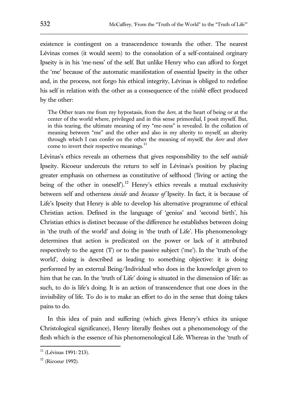existence is contingent on a transcendence towards the other. The nearest Lévinas comes (it would seem) to the consolation of a self-contained orginary Ipseity is in his 'me-ness' of the self. But unlike Henry who can afford to forget the 'me' because of the automatic manifestation of essential Ipseity in the other and, in the process, not forgo his ethical integrity, Lévinas is obliged to redefine his self in relation with the other as a consequence of the *visible* effect produced by the other:

The Other tears me from my hypostasis, from the *here*, at the heart of being or at the center of the world where, privileged and in this sense primordial, I posit myself. But, in this tearing, the ultimate meaning of my "me-ness" is revealed. In the collation of meaning between "me" and the other and also in my alterity to myself, an alterity through which I can confer on the other the meaning of myself, the *here* and *there* come to invert their respective meanings.<sup>11</sup>

Lévinas's ethics reveals an otherness that gives responsibility to the self *outside*  Ipseity. Ricoeur undercuts the return to self in Lévinas's position by placing greater emphasis on otherness as constitutive of selfhood ('living or acting the being of the other in oneself).<sup>12</sup> Henry's ethics reveals a mutual exclusivity between self and otherness *inside* and *because of* Ipseity. In fact, it is because of Life's Ipseity that Henry is able to develop his alternative programme of ethical Christian action. Defined in the language of 'genius' and 'second birth', his Christian ethics is distinct because of the difference he establishes between doing in 'the truth of the world' and doing in 'the truth of Life'. His phenomenology determines that action is predicated on the power or lack of it attributed respectively to the agent (T) or to the passive subject ('me'). In the 'truth of the world', doing is described as leading to something objective: it is doing performed by an external Being/Individual who does in the knowledge given to him that he can. In the 'truth of Life' doing is situated in the dimension of life: as such, to do is life's doing. It is an action of transcendence that one does in the invisibility of life. To do is to make an effort to do in the sense that doing takes pains to do.

In this idea of pain and suffering (which gives Henry's ethics its unique Christological significance), Henry literally fleshes out a phenomenology of the flesh which is the essence of his phenomenological Life. Whereas in the 'truth of

 $11$  (Lévinas 1991: 213).

 $12$  (Ricoeur 1992).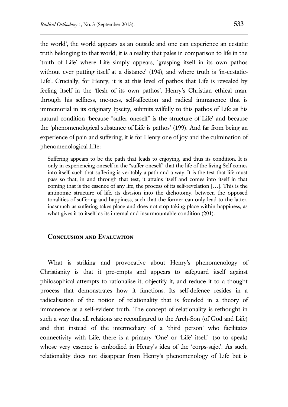the world', the world appears as an outside and one can experience an ecstatic truth belonging to that world, it is a reality that pales in comparison to life in the 'truth of Life' where Life simply appears, 'grasping itself in its own pathos without ever putting itself at a distance' (194), and where truth is 'in-ecstatic-Life'. Crucially, for Henry, it is at this level of pathos that Life is revealed by feeling itself in the 'flesh of its own pathos'. Henry's Christian ethical man, through his selfness, me-ness, self-affection and radical immanence that is immemorial in its originary Ipseity, submits wilfully to this pathos of Life as his natural condition 'because "suffer oneself" is the structure of Life' and because the 'phenomenological substance of Life is pathos' (199). And far from being an experience of pain and suffering, it is for Henry one of joy and the culmination of phenomenological Life:

Suffering appears to be the path that leads to enjoying, and thus its condition. It is only in experiencing oneself in the "suffer oneself" that the life of the living Self comes into itself, such that suffering is veritably a path and a way. It is the test that life must pass so that, in and through that test, it attains itself and comes into itself in that coming that is the essence of any life, the process of its self-revelation […]. This is the antinomic structure of life, its division into the dichotomy, between the opposed tonalities of suffering and happiness, such that the former can only lead to the latter, inasmuch as suffering takes place and does not stop taking place within happiness, as what gives it to itself, as its internal and insurmountable condition (201).

## **Conclusion and Evaluation**

What is striking and provocative about Henry's phenomenology of Christianity is that it pre-empts and appears to safeguard itself against philosophical attempts to rationalise it, objectify it, and reduce it to a thought process that demonstrates how it functions. Its self-defence resides in a radicalisation of the notion of relationality that is founded in a theory of immanence as a self-evident truth. The concept of relationality is rethought in such a way that all relations are reconfigured to the Arch-Son (of God and Life) and that instead of the intermediary of a 'third person' who facilitates connectivity with Life, there is a primary 'One' or 'Life' itself (so to speak) whose very essence is embodied in Henry's idea of the 'corps-sujet'. As such, relationality does not disappear from Henry's phenomenology of Life but is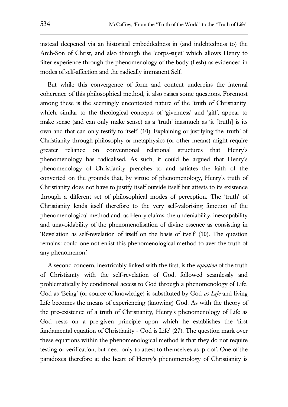instead deepened via an historical embeddedness in (and indebtedness to) the Arch-Son of Christ, and also through the 'corps-sujet' which allows Henry to filter experience through the phenomenology of the body (flesh) as evidenced in modes of self-affection and the radically immanent Self.

But while this convergence of form and content underpins the internal coherence of this philosophical method, it also raises some questions. Foremost among these is the seemingly uncontested nature of the 'truth of Christianity' which, similar to the theological concepts of 'givenness' and 'gift', appear to make sense (and can only make sense) as a 'truth' inasmuch as 'it [truth] is its own and that can only testify to itself' (10). Explaining or justifying the 'truth' of Christianity through philosophy or metaphysics (or other means) might require greater reliance on conventional relational structures that Henry's phenomenology has radicalised. As such, it could be argued that Henry's phenomenology of Christianity preaches to and satiates the faith of the converted on the grounds that, by virtue of phenomenology, Henry's truth of Christianity does not have to justify itself outside itself but attests to its existence through a different set of philosophical modes of perception. The 'truth' of Christianity lends itself therefore to the very self-valorising function of the phenomenological method and, as Henry claims, the undeniability, inescapability and unavoidability of the phenomenolisation of divine essence as consisting in 'Revelation as self-revelation of itself on the basis of itself' (10). The question remains: could one not enlist this phenomenological method to aver the truth of any phenomenon?

A second concern, inextricably linked with the first, is the *equation* of the truth of Christianity with the self-revelation of God, followed seamlessly and problematically by conditional access to God through a phenomenology of Life. God as 'Being' (or source of knowledge) is substituted by God *as Life* and living Life becomes the means of experiencing (knowing) God. As with the theory of the pre-existence of a truth of Christianity, Henry's phenomenology of Life as God rests on a pre-given principle upon which he establishes the 'first fundamental equation of Christianity - God is Life' (27). The question mark over these equations within the phenomenological method is that they do not require testing or verification, but need only to attest to themselves as 'proof'. One of the paradoxes therefore at the heart of Henry's phenomenology of Christianity is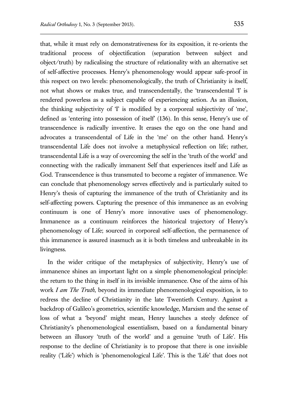that, while it must rely on demonstrativeness for its exposition, it re-orients the traditional process of objectification (separation between subject and object/truth) by radicalising the structure of relationality with an alternative set of self-affective processes. Henry's phenomenology would appear safe-proof in this respect on two levels: phenomenologically, the truth of Christianity is itself, not what shows or makes true, and transcendentally, the 'transcendental 'I' is rendered powerless as a subject capable of experiencing action. As an illusion, the thinking subjectivity of 'I' is modified by a corporeal subjectivity of 'me', defined as 'entering into possession of itself' (136). In this sense, Henry's use of transcendence is radically inventive. It erases the ego on the one hand and advocates a transcendental of Life in the 'me' on the other hand. Henry's transcendental Life does not involve a metaphysical reflection on life; rather, transcendental Life is a way of overcoming the self in the 'truth of the world' and connecting with the radically immanent Self that experiences itself and Life as God. Transcendence is thus transmuted to become a register of immanence. We can conclude that phenomenology serves effectively and is particularly suited to Henry's thesis of capturing the immanence of the truth of Christianity and its self-affecting powers. Capturing the presence of this immanence as an evolving continuum is one of Henry's more innovative uses of phenomenology. Immanence as a continuum reinforces the historical trajectory of Henry's phenomenology of Life; sourced in corporeal self-affection, the permanence of this immanence is assured inasmuch as it is both timeless and unbreakable in its livingness.

In the wider critique of the metaphysics of subjectivity, Henry's use of immanence shines an important light on a simple phenomenological principle: the return to the thing in itself in its invisible immanence. One of the aims of his work *I am The Truth*, beyond its immediate phenomenological exposition, is to redress the decline of Christianity in the late Twentieth Century. Against a backdrop of Galileo's geometrics, scientific knowledge, Marxism and the sense of loss of what a 'beyond' might mean, Henry launches a steely defence of Christianity's phenomenological essentialism, based on a fundamental binary between an illusory 'truth of the world' and a genuine 'truth of Life'. His response to the decline of Christianity is to propose that there is one invisible reality ('Life') which is 'phenomenological Life'. This is the 'Life' that does not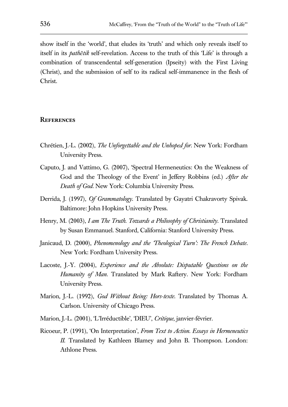show itself in the 'world', that eludes its 'truth' and which only reveals itself to itself in its *pathētik* self-revelation. Access to the truth of this 'Life' is through a combination of transcendental self-generation (Ipseity) with the First Living (Christ), and the submission of self to its radical self-immanence in the flesh of Christ.

#### **References**

- Chrétien, J.-L. (2002), *The Unforgettable and the Unhoped for*. New York: Fordham University Press.
- Caputo, J. and Vattimo, G. (2007), 'Spectral Hermeneutics: On the Weakness of God and the Theology of the Event' in Jeffery Robbins (ed.) *After the Death of God*. New York: Columbia University Press.
- Derrida, J. (1997), *Of Grammatology*. Translated by Gayatri Chakravorty Spivak. Baltimore: John Hopkins University Press.
- Henry, M. (2003), *I am The Truth. Towards a Philosophy of Christianity*. Translated by Susan Emmanuel. Stanford, California: Stanford University Press.
- Janicaud, D. (2000), *Phenomenology and the 'Theological Turn': The French Debate*. New York: Fordham University Press.
- Lacoste, J.-Y. (2004), *Experience and the Absolute: Disputable Questions on the Humanity of Man*. Translated by Mark Raftery. New York: Fordham University Press.
- Marion, J.-L. (1992), *God Without Being: Hors-texte*. Translated by Thomas A. Carlson. University of Chicago Press.
- Marion, J.-L. (2001), 'L'Irréductible', 'DIEU', *Critique*, janvier-février.
- Ricoeur, P. (1991), 'On Interpretation', *From Text to Action. Essays in Hermeneutics II*. Translated by Kathleen Blamey and John B. Thompson. London: Athlone Press.